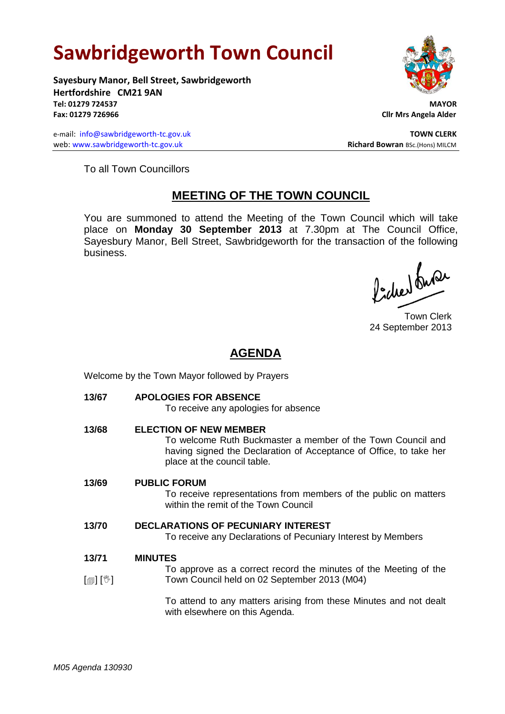# **Sawbridgeworth Town Council**

**Sayesbury Manor, Bell Street, Sawbridgeworth Hertfordshire CM21 9AN Tel: 01279 724537 MAYOR Fax: 01279 726966 Cllr Mrs Angela Alder**

e-mail: [info@sawbridgeworth-tc.gov.uk](mailto:info@sawbridgeworth-tc.gov.uk) **TOWN CLERK** web: www.sawbridgeworth-tc.gov.uk<br> **Richard Bowran** BSc.(Hons) MILCM



To all Town Councillors

# **MEETING OF THE TOWN COUNCIL**

You are summoned to attend the Meeting of the Town Council which will take place on **Monday 30 September 2013** at 7.30pm at The Council Office, Sayesbury Manor, Bell Street, Sawbridgeworth for the transaction of the following business.

Picked buran

Town Clerk 24 September 2013

# **AGENDA**

Welcome by the Town Mayor followed by Prayers

**13/67 APOLOGIES FOR ABSENCE**

To receive any apologies for absence

**13/68 ELECTION OF NEW MEMBER** To welcome Ruth Buckmaster a member of the Town Council and having signed the Declaration of Acceptance of Office, to take her place at the council table. **13/69 PUBLIC FORUM** To receive representations from members of the public on matters within the remit of the Town Council

## **13/70 DECLARATIONS OF PECUNIARY INTEREST**

To receive any Declarations of Pecuniary Interest by Members

#### **13/71 MINUTES**

 $\lceil$  [ $\mathbb{I}$ ]  $\lceil \mathbb{V} \rceil$ To approve as a correct record the minutes of the Meeting of the Town Council held on 02 September 2013 (M04)

> To attend to any matters arising from these Minutes and not dealt with elsewhere on this Agenda.